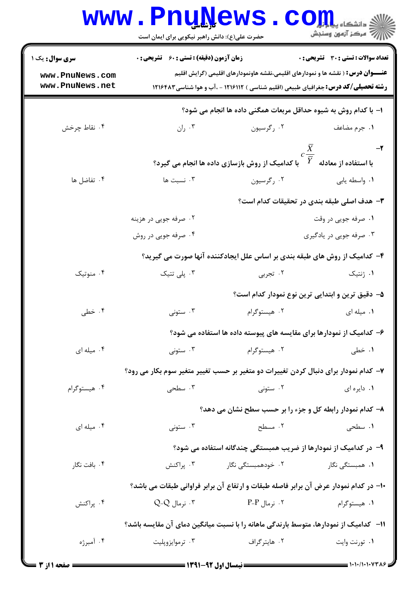|                                                                                      | <b>www.PnuNews</b><br>حضرت علی(ع): دانش راهبر نیکویی برای ایمان است                  |                                                                                                                                                                                       | في دانشڪاه پ <b>يا پارلي</b><br>في<br>رآ مرڪز آزمون وسنڊش |  |  |  |
|--------------------------------------------------------------------------------------|--------------------------------------------------------------------------------------|---------------------------------------------------------------------------------------------------------------------------------------------------------------------------------------|-----------------------------------------------------------|--|--|--|
| سری سوال: یک ۱                                                                       | <b>زمان آزمون (دقیقه) : تستی : 60 ٪ تشریحی : 0</b>                                   |                                                                                                                                                                                       | تعداد سوالات : تستى : 30 ٪ تشريحي : 0                     |  |  |  |
| www.PnuNews.com<br>www.PnuNews.net                                                   |                                                                                      | <b>عنـــوان درس :</b> ( نقشه ها و نمودارهای اقلیمی،نقشه هاونمودارهای اقلیمی (گرایش اقلیم<br><b>رشته تحصیلی/کد درس:</b> جغرافیای طبیعی (اقلیم شناسی ) ۱۲۱۶۱۱۲ - ،آب و هوا شناسی۱۲۱۶۴۸۳ |                                                           |  |  |  |
|                                                                                      | ا– با کدام روش به شیوه حداقل مربعات همگنی داده ها انجام می شود؟                      |                                                                                                                                                                                       |                                                           |  |  |  |
| ۰۴ نقاط چرخش                                                                         | ۰۳ ران                                                                               | ۰۲ رگرسیون                                                                                                                                                                            | ۰۱ جرم مضاعف                                              |  |  |  |
|                                                                                      |                                                                                      | با کدامیک از روش بازسازی داده ها انجام می گیرد؟                                                                                                                                       | $-\tau$<br>$c\frac{X}{\equiv}$<br>با استفاده از معادله    |  |  |  |
| ۰۴ تفاضل ها                                                                          | ۰۳ نسبت ها                                                                           | ۰۲ رگرسیون                                                                                                                                                                            | ۰۱ واسطه يابي                                             |  |  |  |
| <b>۳</b> - هدف اصلی طبقه بندی در تحقیقات کدام است؟                                   |                                                                                      |                                                                                                                                                                                       |                                                           |  |  |  |
|                                                                                      | ۰۲ صرفه جویی در هزینه                                                                |                                                                                                                                                                                       | ۰۱ صرفه جویی در وقت                                       |  |  |  |
|                                                                                      | ۰۴ صرفه جویی در روش                                                                  |                                                                                                                                                                                       | ۰۳ صرفه جویی در یادگیری                                   |  |  |  |
|                                                                                      |                                                                                      | ۴– کدامیک از روش های طبقه بندی بر اساس علل ایجادکننده آنها صورت می گیرید؟                                                                                                             |                                                           |  |  |  |
| ۰۴ منوتیک                                                                            | ۰۳ پلی تتیک                                                                          | ۰۲ تجربی                                                                                                                                                                              | ۰۱ ژنتیک                                                  |  |  |  |
|                                                                                      |                                                                                      |                                                                                                                                                                                       | ۵– دقیق ترین و ابتدایی ترین نوع نمودار کدام است؟          |  |  |  |
| ۰۴ خطی                                                                               | ۰۳ ستونی                                                                             | ۰۲ هیستوگرام                                                                                                                                                                          | ۰۱ میله ای                                                |  |  |  |
|                                                                                      | ۶– کدامیک از نمودارها برای مقایسه های پیوسته داده ها استفاده می شود؟                 |                                                                                                                                                                                       |                                                           |  |  |  |
| ۰۴ میله ای                                                                           | ۰۳ ستونی $\cdot$                                                                     | ۰۲ هیستوگرام                                                                                                                                                                          | ۰۱ خطی                                                    |  |  |  |
|                                                                                      | ۷- کدام نمودار برای دنبال کردن تغییرات دو متغیر بر حسب تغییر متغیر سوم بکار می رود؟  |                                                                                                                                                                                       |                                                           |  |  |  |
| ۰۴ هیستوگرام                                                                         | ۰۳ سطحی                                                                              | ۰۲ ستونی                                                                                                                                                                              | ۰۱ دایره ای                                               |  |  |  |
|                                                                                      |                                                                                      | ۸- کدام نمودار رابطه کل و جزء را بر حسب سطح نشان می دهد؟                                                                                                                              |                                                           |  |  |  |
| ۰۴ میله ای                                                                           | ۰۳ ستونی                                                                             | ۰۲ مسطح                                                                                                                                                                               | <b>۱.</b> سطحی                                            |  |  |  |
|                                                                                      | ۹- در کدامیک از نمودارها از ضریب همبستگی چندگانه استفاده می شود؟                     |                                                                                                                                                                                       |                                                           |  |  |  |
| ۰۴ بافت نگار                                                                         | ۰۳ پراکنش                                                                            | ۰۲ خودهمبستگی نگار                                                                                                                                                                    | <b>۱</b> . همبستگی نگار                                   |  |  |  |
|                                                                                      | ∙ا− در کدام نمودار عرض آن برابر فاصله طبقات و ارتفاع آن برابر فراوانی طبقات می باشد؟ |                                                                                                                                                                                       |                                                           |  |  |  |
| ۰۴ پراکنش                                                                            | . نرمال Q-Q $\cdot$                                                                  | ۰۲ نرمال P-P                                                                                                                                                                          | ۰۱ هیستوگرام                                              |  |  |  |
| ۱۱− کدامیک از نمودارها، متوسط بارندگی ماهانه را با نسبت میانگین دمای آن مقایسه باشد؟ |                                                                                      |                                                                                                                                                                                       |                                                           |  |  |  |
| ۰۴ آمبرژه                                                                            | ۰۳ ترموايزوپليت                                                                      | ۰۲ هايترگراف                                                                                                                                                                          | ۰۱ تورنت وايت                                             |  |  |  |
|                                                                                      |                                                                                      |                                                                                                                                                                                       |                                                           |  |  |  |

1.1.1.1.1.738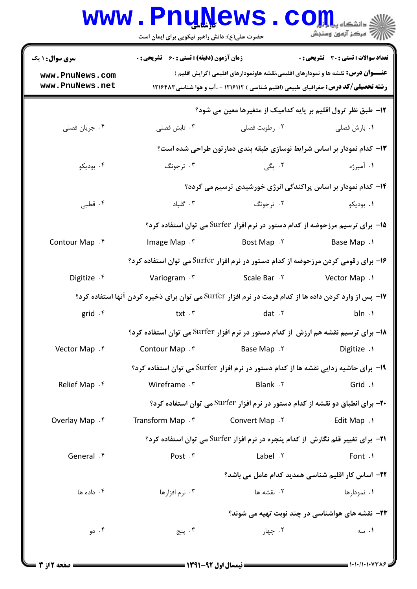|                                                                                                        | <b>www.PnuNews</b><br>حضرت علی(ع): دانش راهبر نیکویی برای ایمان است |                 | د<br>د انشڪاه پ <b>يايائي(</b><br>رآ مرڪز آزمون وسنڊش                                                                                                                                |  |  |  |
|--------------------------------------------------------------------------------------------------------|---------------------------------------------------------------------|-----------------|--------------------------------------------------------------------------------------------------------------------------------------------------------------------------------------|--|--|--|
| <b>سری سوال : ۱ یک</b>                                                                                 | <b>زمان آزمون (دقیقه) : تستی : 60 ٪ تشریحی : 0</b>                  |                 | <b>تعداد سوالات : تستی : 30 ٪ تشریحی : 0</b>                                                                                                                                         |  |  |  |
| www.PnuNews.com<br>www.PnuNews.net                                                                     |                                                                     |                 | <b>عنـــوان درس:</b> نقشه ها و نمودارهای اقلیمی،نقشه هاونمودارهای اقلیمی (گرایش اقلیم )<br><b>رشته تحصیلی/کد درس:</b> جغرافیای طبیعی (اقلیم شناسی ) ۱۲۱۶۱۱۲ - ،آب و هوا شناسی۱۲۱۶۴۸۳ |  |  |  |
| ۱۲– طبق نظر ترول اقلیم بر پایه کدامیک از متغیرها معین می شود؟                                          |                                                                     |                 |                                                                                                                                                                                      |  |  |  |
| ۰۴ جريان فصلي                                                                                          | ۰۳ تابش فصلی                                                        | ۰۲ رطوبت فصلی   | ٠١ بارش فصلي                                                                                                                                                                         |  |  |  |
| ۱۳- کدام نمودار بر اساس شرایط نوسازی طبقه بندی دمارتون طراحی شده است؟                                  |                                                                     |                 |                                                                                                                                                                                      |  |  |  |
| ۰۴ بوديکو                                                                                              | ۰۳ ترجونگ                                                           | ۲. پگی          | ۰۱ آمبرژه                                                                                                                                                                            |  |  |  |
|                                                                                                        |                                                                     |                 | ۱۴– کدام نمودار بر اساس پراکندگی انرژی خورشیدی ترسیم می گردد؟                                                                                                                        |  |  |  |
| ۰۴ قطبی                                                                                                | ۰۳ گلباد                                                            | ۰۲ ترجونگ       | ۰۱ بودیکو                                                                                                                                                                            |  |  |  |
| ۱۵− برای ترسیم مرزحوضه از کدام دستور در نرم افزار Surfer می توان استفاده کرد؟                          |                                                                     |                 |                                                                                                                                                                                      |  |  |  |
| Contour Map . f                                                                                        | Image Map . ٣                                                       | Bost Map . ٢    | <b>Base Map</b> .1                                                                                                                                                                   |  |  |  |
|                                                                                                        |                                                                     |                 | ۱۶– برای رقومی کردن مرزحوضه از کدام دستور در نرم افزار Surfer می توان استفاده کرد؟                                                                                                   |  |  |  |
| Digitize . f                                                                                           | Variogram . ٣                                                       | Scale Bar . ٢   | Vector Map .1                                                                                                                                                                        |  |  |  |
| ۱۷- پس از وارد کردن داده ها از کدام فرمت در نرم افزار Surfer می توان برای ذخیره کردن آنها استفاده کرد؟ |                                                                     |                 |                                                                                                                                                                                      |  |  |  |
| grid .f                                                                                                | txt .r                                                              | dat $.7$        | bln.                                                                                                                                                                                 |  |  |  |
|                                                                                                        |                                                                     |                 | ۱۸– برای ترسیم نقشه هم ارزش از کدام دستور در نرم افزار Surfer می توان استفاده کرد؟                                                                                                   |  |  |  |
| Vector Map . f                                                                                         | Contour Map . ٣                                                     | Base Map . ٢    | Digitize .1                                                                                                                                                                          |  |  |  |
|                                                                                                        |                                                                     |                 | ۱۹- برای حاشیه زدایی نقشه ها از کدام دستور در نرم افزار Surfer می توان استفاده کرد؟                                                                                                  |  |  |  |
| Relief Map . f                                                                                         | Wireframe . ٣                                                       | Blank . ٢       | Grid .1                                                                                                                                                                              |  |  |  |
|                                                                                                        |                                                                     |                 | <b>۲۰</b> - برای انطباق دو نقشه از کدام دستور در نرم افزار Surfer می توان استفاده کرد؟                                                                                               |  |  |  |
| Overlay Map . f                                                                                        | Transform Map . ٣                                                   | Convert Map . ٢ | <b>Edit Map</b> .                                                                                                                                                                    |  |  |  |
|                                                                                                        |                                                                     |                 | 21− برای تغییر قلم نگارش از کدام پنجره در نرم افزار Surfer می توان استفاده کرد؟                                                                                                      |  |  |  |
| General .f                                                                                             | Post . ٣                                                            | Label . ٢       | Font .1                                                                                                                                                                              |  |  |  |
|                                                                                                        |                                                                     |                 | <b>۲۲</b> – اساس کار اقلیم شناسی همدید کدام عامل می باشد؟                                                                                                                            |  |  |  |
| ۰۴ داده ها                                                                                             | ۰۳ نرم افزارها                                                      | ۰۲ نقشه ها      | ۰۱ نمودارها                                                                                                                                                                          |  |  |  |
| <b>۲۳</b> - نقشه های هواشناسی در چند نوبت تهیه می شوند؟                                                |                                                                     |                 |                                                                                                                                                                                      |  |  |  |
| ۰۴ دو                                                                                                  | ۰۳ پنج                                                              | ۰۲ چهار         | ۰۱ سه                                                                                                                                                                                |  |  |  |
|                                                                                                        |                                                                     |                 |                                                                                                                                                                                      |  |  |  |